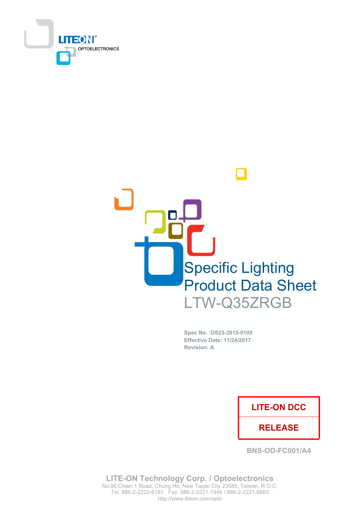



Spec No. : DS23-2015-0109 **Effective Date: 11/24/2017 Revision: A** 

# **LITE-ON DCC**

# **RELEASE**

**BNS-OD-FC001/A4** 

**LITE-ON Technology Corp. / Optoelectronics** No.90, Chien 1 Road, Chung Ho, New Taipei City 23585, Taiwan, R.O.C. Tel: 886-2-2222-6181 Fax: 886-2-2221-1948 / 886-2-2221-0660 http://www.liteon.com/opto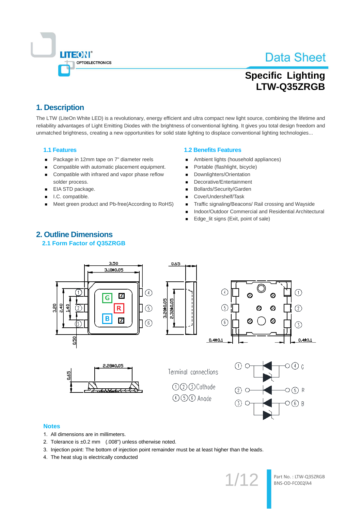

# **Specific Lighting** LTW-Q35ZRGB

# 1. Description

The LTW (LiteOn White LED) is a revolutionary, energy efficient and ultra compact new light source, combining the lifetime and reliability advantages of Light Emitting Diodes with the brightness of conventional lighting. It gives you total design freedom and unmatched brightness, creating a new opportunities for solid state lighting to displace conventional lighting technologies...

### **1.1 Features**

- Package in 12mm tape on 7" diameter reels  $\blacksquare$
- Compatible with automatic placement equipment.  $\blacksquare$
- Compatible with infrared and vapor phase reflow  $\blacksquare$ solder process.
- EIA STD package.  $\blacksquare$
- I.C. compatible.
- Meet green product and Pb-free(According to RoHS)

#### **1.2 Benefits Features**

- Ambient lights (household appliances)
- Portable (flashlight, bicycle)
- Downlighters/Orientation  $\blacksquare$
- Decorative/Entertainment
- Bollards/Security/Garden
- Cove/Undershelf/Task  $\blacksquare$
- Traffic signaling/Beacons/ Rail crossing and Wayside п
- Indoor/Outdoor Commercial and Residential Architectural
- Edge\_lit signs (Exit, point of sale) ٠



# 2.1 Form Factor of Q35ZRGB

#### **Notes**

- 1. All dimensions are in millimeters.
- 2. Tolerance is  $\pm 0.2$  mm  $(0.008")$  unless otherwise noted.
- 3. Injection point: The bottom of injection point remainder must be at least higher than the leads.
- 4. The heat slug is electrically conducted

 $1/12$ 

Part No.: LTW-Q35ZRGB BNS-OD-FC002/A4

# **2. Outline Dimensions**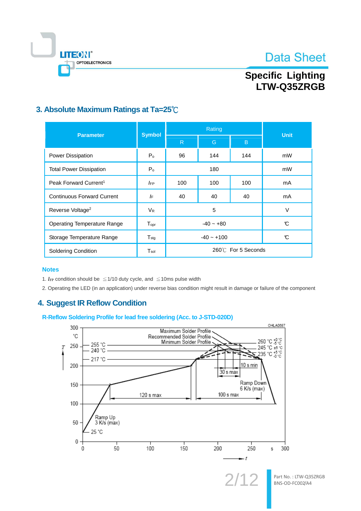



# **Specific Lighting** LTW-Q35ZRGB

# 3. Absolute Maximum Ratings at Ta=25°C

| <b>Parameter</b>                  | <b>Symbol</b>               |                     | <b>Unit</b> |     |    |
|-----------------------------------|-----------------------------|---------------------|-------------|-----|----|
|                                   |                             | R                   | G           | B   |    |
| Power Dissipation                 | P <sub>o</sub>              | 96                  | 144         | 144 | mW |
| <b>Total Power Dissipation</b>    | P <sub>o</sub>              | 180                 |             |     | mW |
| Peak Forward Current <sup>1</sup> | <b>IFP</b>                  | 100<br>100<br>100   |             | mA  |    |
| <b>Continuous Forward Current</b> | IF                          | 40<br>40<br>40      |             | mA  |    |
| Reverse Voltage <sup>2</sup>      | <b>V<sub>R</sub></b>        | 5                   |             |     | V  |
| Operating Temperature Range       | $\mathsf{T}_{\mathsf{opr}}$ | $-40 - +80$         |             |     | C  |
| Storage Temperature Range         | $T_{\text{stg}}$            | $-40 - +100$<br>C   |             |     |    |
| <b>Soldering Condition</b>        | $\mathsf{T}_{\mathsf{sol}}$ | 260°C For 5 Seconds |             |     |    |

### **Notes**

1. IF condition should be  $\leq$  1/10 duty cycle, and  $\leq$  10ms pulse width

2. Operating the LED (in an application) under reverse bias condition might result in damage or failure of the component

# **4. Suggest IR Reflow Condition**

### R-Reflow Soldering Profile for lead free soldering (Acc. to J-STD-020D)

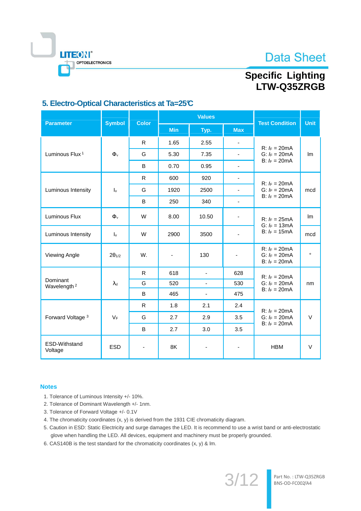



# **Specific Lighting** LTW-Q35ZRGB

# 5. Electro-Optical Characteristics at Ta=25°C

| <b>Parameter</b>                    | <b>Symbol</b>             | <b>Color</b>             |                          | <b>Values</b>                | <b>Test Condition</b>    | <b>Unit</b>                                               |         |
|-------------------------------------|---------------------------|--------------------------|--------------------------|------------------------------|--------------------------|-----------------------------------------------------------|---------|
|                                     |                           |                          | <b>Min</b>               | Typ.                         | <b>Max</b>               |                                                           |         |
|                                     | $\Phi_{v}$                | R.                       | 1.65                     | 2.55                         | $\blacksquare$           | $R: I_F = 20mA$                                           |         |
| Luminous Flux <sup>1</sup>          |                           | G                        | 5.30                     | 7.35                         | $\blacksquare$           | G: $I_F = 20 \text{mA}$<br>B: $k = 20 \text{mA}$          | Im      |
|                                     |                           | B                        | 0.70                     | 0.95                         | $\blacksquare$           |                                                           |         |
|                                     |                           | R.                       | 600                      | 920                          | $\blacksquare$           | $R: I_F = 20mA$                                           |         |
| Luminous Intensity                  | $\mathsf{I}_{\mathsf{v}}$ | G                        | 1920                     | 2500                         | $\blacksquare$           | G: $k = 20 \text{mA}$<br>$B: I_F = 20mA$                  | mcd     |
|                                     |                           | B                        | 250                      | 340                          | $\blacksquare$           |                                                           |         |
| Luminous Flux                       | $\Phi$ <sub>v</sub>       | W                        | 8.00                     | 10.50                        | $\overline{\phantom{a}}$ | $R: I_F = 25mA$<br>G: $I_F = 13 \text{mA}$                | Im      |
| Luminous Intensity                  | $\mathsf{I}_{\mathsf{V}}$ | W                        | 2900                     | 3500                         | $\blacksquare$           | B: $k = 15mA$                                             | mcd     |
| <b>Viewing Angle</b>                | $2\theta_{1/2}$           | W.                       | $\overline{\phantom{a}}$ | 130                          | $\overline{\phantom{a}}$ | $R: I_F = 20mA$<br>G: $k = 20 \text{mA}$<br>B: $k = 20mA$ | $\circ$ |
|                                     | $\lambda_d$               | R                        | 618                      | $\overline{\phantom{a}}$     | 628                      | $R: I_F = 20mA$                                           | nm      |
| Dominant<br>Wavelength <sup>2</sup> |                           | G                        | 520                      | $\overline{\phantom{0}}$     | 530                      | G: $k = 20 \text{mA}$<br>B: $k = 20mA$                    |         |
|                                     |                           | B                        | 465                      | $\qquad \qquad \blacksquare$ | 475                      |                                                           |         |
| Forward Voltage <sup>3</sup>        |                           | R.                       | 1.8                      | 2.1                          | 2.4                      | $R: I_F = 20mA$                                           |         |
|                                     | $V_F$                     | G                        | 2.7                      | 2.9                          | 3.5                      | G: $k = 20mA$                                             | $\vee$  |
|                                     |                           | B                        | 2.7                      | 3.0                          | 3.5                      | B: $k = 20mA$                                             |         |
| ESD-Withstand<br>Voltage            | <b>ESD</b>                | $\overline{\phantom{a}}$ | 8K                       | $\qquad \qquad \blacksquare$ | $\overline{\phantom{a}}$ | <b>HBM</b>                                                | V       |

### **Notes**

- 1. Tolerance of Luminous Intensity +/- 10%.
- 2. Tolerance of Dominant Wavelength +/- 1nm.
- 3. Tolerance of Forward Voltage +/- 0.1V
- 4. The chromaticity coordinates (x, y) is derived from the 1931 CIE chromaticity diagram.
- 5. Caution in ESD: Static Electricity and surge damages the LED. It is recommend to use a wrist band or anti-electrostatic glove when handling the LED. All devices, equipment and machinery must be properly grounded.
- 6. CAS140B is the test standard for the chromaticity coordinates (x, y) & lm.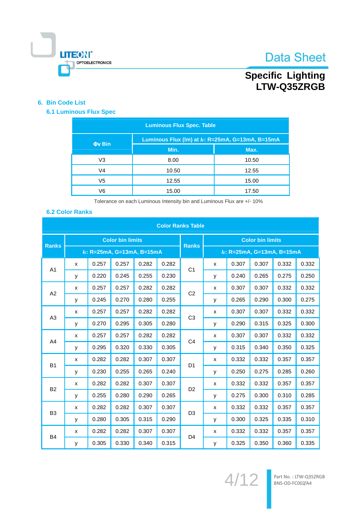

# Specific Lighting<br>LTW-Q35ZRGB

### 6. Bin Code List

### **6.1 Luminous Flux Spec**

| <b>Luminous Flux Spec. Table</b> |                                                    |       |  |  |  |
|----------------------------------|----------------------------------------------------|-------|--|--|--|
| <b>Ov Bin</b>                    | Luminous Flux (Im) at $k$ : R=25mA, G=13mA, B=15mA |       |  |  |  |
|                                  | Min.                                               | Max.  |  |  |  |
| V <sub>3</sub>                   | 8.00                                               | 10.50 |  |  |  |
| V4                               | 10.50                                              | 12.55 |  |  |  |
| V5                               | 12.55                                              | 15.00 |  |  |  |
| V6                               | 15.00                                              | 17.50 |  |  |  |

Tolerance on each Luminous Intensity bin and Luminous Flux are +/- 10%

### **6.2 Color Ranks**

| <b>Color Ranks Table</b> |                         |       |                           |       |       |                         |   |                            |       |       |       |
|--------------------------|-------------------------|-------|---------------------------|-------|-------|-------------------------|---|----------------------------|-------|-------|-------|
| <b>Ranks</b>             | <b>Color bin limits</b> |       |                           |       |       | <b>Color bin limits</b> |   |                            |       |       |       |
|                          |                         |       | F: R=25mA, G=13mA, B=15mA |       |       | <b>Ranks</b>            |   | IF: R=25mA, G=13mA, B=15mA |       |       |       |
| A1                       | X                       | 0.257 | 0.257                     | 0.282 | 0.282 | C <sub>1</sub>          | X | 0.307                      | 0.307 | 0.332 | 0.332 |
|                          | y                       | 0.220 | 0.245                     | 0.255 | 0.230 |                         | У | 0.240                      | 0.265 | 0.275 | 0.250 |
| A2                       | X                       | 0.257 | 0.257                     | 0.282 | 0.282 | C <sub>2</sub>          | x | 0.307                      | 0.307 | 0.332 | 0.332 |
|                          | y                       | 0.245 | 0.270                     | 0.280 | 0.255 |                         | у | 0.265                      | 0.290 | 0.300 | 0.275 |
| A <sub>3</sub>           | X                       | 0.257 | 0.257                     | 0.282 | 0.282 | C <sub>3</sub>          | x | 0.307                      | 0.307 | 0.332 | 0.332 |
|                          | у                       | 0.270 | 0.295                     | 0.305 | 0.280 |                         | У | 0.290                      | 0.315 | 0.325 | 0.300 |
|                          | X                       | 0.257 | 0.257                     | 0.282 | 0.282 |                         | x | 0.307                      | 0.307 | 0.332 | 0.332 |
| A <sub>4</sub>           | y                       | 0.295 | 0.320                     | 0.330 | 0.305 | C <sub>4</sub>          | у | 0.315                      | 0.340 | 0.350 | 0.325 |
| <b>B1</b>                | X                       | 0.282 | 0.282                     | 0.307 | 0.307 | D <sub>1</sub>          | x | 0.332                      | 0.332 | 0.357 | 0.357 |
|                          | y                       | 0.230 | 0.255                     | 0.265 | 0.240 |                         | у | 0.250                      | 0.275 | 0.285 | 0.260 |
| <b>B2</b>                | X                       | 0.282 | 0.282                     | 0.307 | 0.307 |                         | x | 0.332                      | 0.332 | 0.357 | 0.357 |
|                          | y                       | 0.255 | 0.280                     | 0.290 | 0.265 | D <sub>2</sub>          | у | 0.275                      | 0.300 | 0.310 | 0.285 |
|                          | X                       | 0.282 | 0.282                     | 0.307 | 0.307 |                         | x | 0.332                      | 0.332 | 0.357 | 0.357 |
| B <sub>3</sub>           | y                       | 0.280 | 0.305                     | 0.315 | 0.290 | D <sub>3</sub>          | у | 0.300                      | 0.325 | 0.335 | 0.310 |
|                          | X                       | 0.282 | 0.282                     | 0.307 | 0.307 |                         | x | 0.332                      | 0.332 | 0.357 | 0.357 |
| <b>B4</b>                | y                       | 0.305 | 0.330                     | 0.340 | 0.315 | D <sub>4</sub>          | у | 0.325                      | 0.350 | 0.360 | 0.335 |

 $4/12$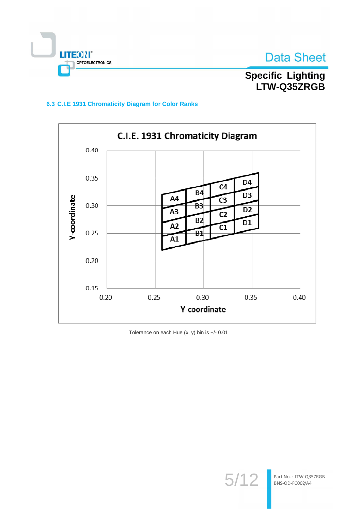

**Specific Lighting** LTW-Q35ZRGB

### 6.3 C.I.E 1931 Chromaticity Diagram for Color Ranks



Tolerance on each Hue (x, y) bin is +/- 0.01

 $5/12$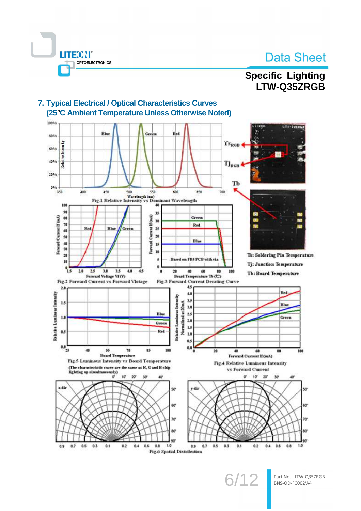# **Specific Lighting**

LTW-Q35ZRGB



7. Typical Electrical / Optical Characteristics Curves (25°C Ambient Temperature Unless Otherwise Noted)

**LITEON®** 

**OPTOELECTRONICS** 

 $6/12$ 

Part No.: LTW-Q35ZRGB BNS-OD-FC002/A4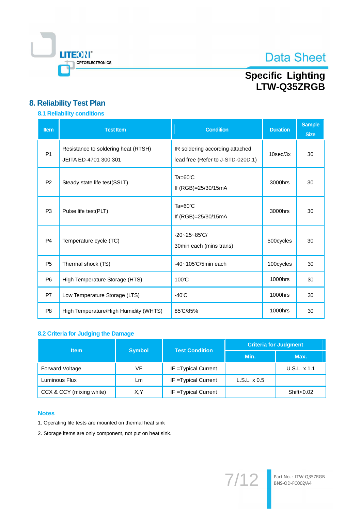

# Specific Lighting<br>LTW-Q35ZRGB

# 8. Reliability Test Plan

## 8.1 Reliability conditions

| <b>Item</b>    | <b>Test Item</b>                                             | <b>Condition</b>                                                     | <b>Duration</b> | <b>Sample</b><br><b>Size</b> |
|----------------|--------------------------------------------------------------|----------------------------------------------------------------------|-----------------|------------------------------|
| P <sub>1</sub> | Resistance to soldering heat (RTSH)<br>JEITA ED-4701 300 301 | IR soldering according attached<br>lead free (Refer to J-STD-020D.1) | $10$ sec $/3x$  | 30                           |
| P <sub>2</sub> | Steady state life test (SSLT)                                | $Ta=60^{\circ}C$<br>If $(RGB) = 25/30/15mA$                          | 3000hrs         | 30                           |
| P <sub>3</sub> | Pulse life test(PLT)                                         | $Ta=60^{\circ}C$<br>If (RGB)=25/30/15mA                              | 3000hrs         | 30                           |
| P <sub>4</sub> | Temperature cycle (TC)                                       | $-20 - 25 - 85$ °C/<br>30min each (mins trans)                       | 500cycles       | 30                           |
| P <sub>5</sub> | Thermal shock (TS)                                           | $-40 - 105$ 'C/5min each                                             | 100cycles       | 30                           |
| P <sub>6</sub> | High Temperature Storage (HTS)                               | 100°C                                                                | 1000hrs         | 30                           |
| P7             | Low Temperature Storage (LTS)                                | $-40^{\circ}$ C                                                      | 1000hrs         | 30                           |
| P <sub>8</sub> | High Temperature/High Humidity (WHTS)                        | 85'C/85%                                                             | 1000hrs         | 30                           |

### 8.2 Criteria for Judging the Damage

| <b>Item</b>              |               | <b>Test Condition</b> | <b>Criteria for Judgment</b> |              |  |  |
|--------------------------|---------------|-----------------------|------------------------------|--------------|--|--|
|                          | <b>Symbol</b> |                       | Min.                         | Max.         |  |  |
| <b>Forward Voltage</b>   | VF            | IF = Typical Current  |                              | U.S.L. x 1.1 |  |  |
| Luminous Flux            | Lm            | IF = Typical Current  | $L.S.L. \times 0.5$          |              |  |  |
| CCX & CCY (mixing white) | X.Y           | IF = Typical Current  |                              | Shift<0.02   |  |  |

### **Notes**

- 1. Operating life tests are mounted on thermal heat sink
- 2. Storage items are only component, not put on heat sink.

 $7/12$ Part No.: LTW-Q35ZRGB<br>BNS-OD-FC002/A4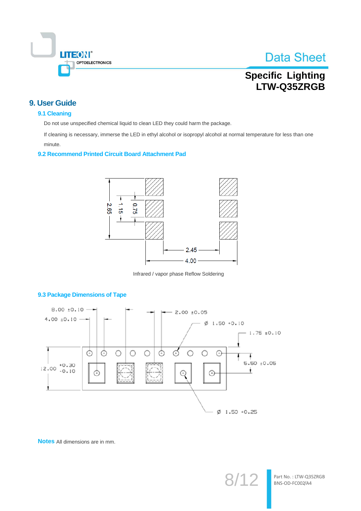

# **Specific Lighting** LTW-Q35ZRGB

# 9. User Guide

### 9.1 Cleaning

Do not use unspecified chemical liquid to clean LED they could harm the package.

If cleaning is necessary, immerse the LED in ethyl alcohol or isopropyl alcohol at normal temperature for less than one minute.

#### 9.2 Recommend Printed Circuit Board Attachment Pad



Infrared / vapor phase Reflow Soldering



#### 9.3 Package Dimensions of Tape

Notes All dimensions are in mm.

 $8/1$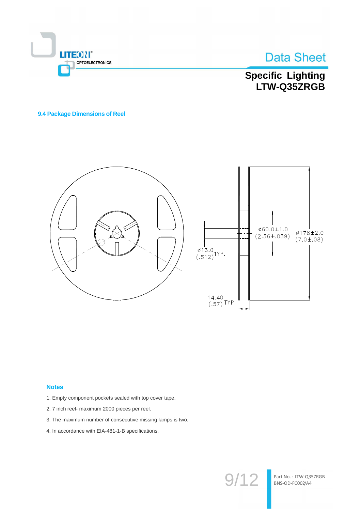



Specific Lighting<br>LTW-Q35ZRGB

#### 9.4 Package Dimensions of Reel



#### **Notes**

- 1. Empty component pockets sealed with top cover tape.
- 2.7 inch reel- maximum 2000 pieces per reel.
- 3. The maximum number of consecutive missing lamps is two.
- 4. In accordance with EIA-481-1-B specifications.

 $9/12$ 

Part No.: LTW-Q35ZRGB BNS-OD-FC002/A4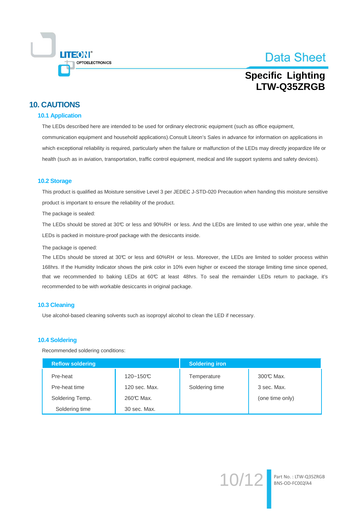

Part No.: LTW-Q35ZRGB BNS-OD-FC002/A4

# **Specific Lighting** I TW-Q35ZRGB

# **10. CAUTIONS**

#### **10.1 Application**

The LEDs described here are intended to be used for ordinary electronic equipment (such as office equipment, communication equipment and household applications). Consult Liteon's Sales in advance for information on applications in which exceptional reliability is required, particularly when the failure or malfunction of the LEDs may directly jeopardize life or health (such as in aviation, transportation, traffic control equipment, medical and life support systems and safety devices).

#### **10.2 Storage**

This product is qualified as Moisture sensitive Level 3 per JEDEC J-STD-020 Precaution when handing this moisture sensitive product is important to ensure the reliability of the product.

The package is sealed:

The LEDs should be stored at 30°C or less and 90%RH or less. And the LEDs are limited to use within one year, while the LEDs is packed in moisture-proof package with the desiccants inside.

The package is opened:

The LEDs should be stored at 30°C or less and 60%RH or less. Moreover, the LEDs are limited to solder process within 168hrs. If the Humidity Indicator shows the pink color in 10% even higher or exceed the storage limiting time since opened, that we recommended to baking LEDs at 60°C at least 48hrs. To seal the remainder LEDs return to package, it's recommended to be with workable desiccants in original package.

#### 10.3 Cleaning

Use alcohol-based cleaning solvents such as isopropyl alcohol to clean the LED if necessary.

#### **10.4 Soldering**

Recommended soldering conditions:

| <b>Reflow soldering</b> |               | <b>Soldering iron</b> |                 |  |  |
|-------------------------|---------------|-----------------------|-----------------|--|--|
| Pre-heat                | $120 - 150C$  | Temperature           | 300℃ Max.       |  |  |
| Pre-heat time           | 120 sec. Max. | Soldering time        | 3 sec. Max.     |  |  |
| Soldering Temp.         | 260℃ Max.     |                       | (one time only) |  |  |
| Soldering time          | 30 sec. Max.  |                       |                 |  |  |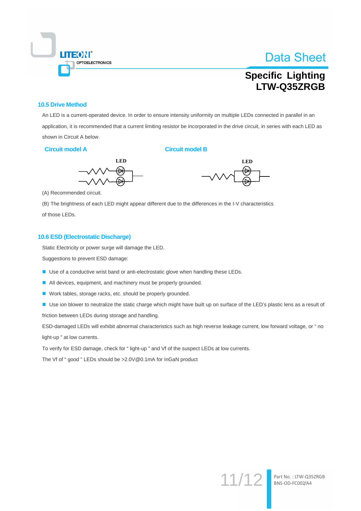

# **Specific Lighting** I TW-Q35ZRGB

#### **10.5 Drive Method**

An LED is a current-operated device. In order to ensure intensity uniformity on multiple LEDs connected in parallel in an application, it is recommended that a current limiting resistor be incorporated in the drive circuit, in series with each LED as shown in Circuit A below.

#### **Circuit model A**

#### **Circuit model B**





 $11/12$ 

Part No.: LTW-Q35ZRGB<br>BNS-OD-FC002/A4

(A) Recommended circuit.

(B) The brightness of each LED might appear different due to the differences in the I-V characteristics of those LEDs.

#### 10.6 ESD (Electrostatic Discharge)

Static Electricity or power surge will damage the LED.

Suggestions to prevent ESD damage:

- Use of a conductive wrist band or anti-electrostatic glove when handling these LEDs.
- All devices, equipment, and machinery must be properly grounded.
- Work tables, storage racks, etc. should be properly grounded.
- Use ion blower to neutralize the static charge which might have built up on surface of the LED's plastic lens as a result of friction between LEDs during storage and handling.

ESD-damaged LEDs will exhibit abnormal characteristics such as high reverse leakage current, low forward voltage, or " no light-up " at low currents.

To verify for ESD damage, check for "light-up" and Vf of the suspect LEDs at low currents.

The Vf of "good" LEDs should be >2.0V@0.1mA for InGaN product